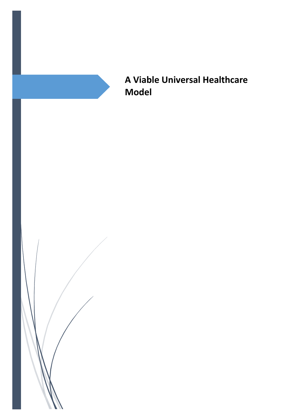

**A Viable Universal Healthcare Model**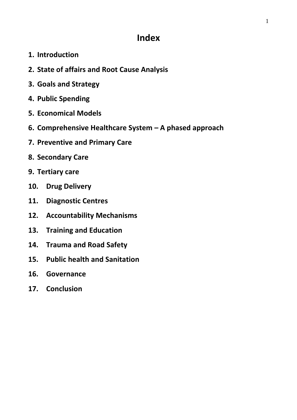# **Index**

- **1. Introduction**
- **2. State of affairs and Root Cause Analysis**
- **3. Goals and Strategy**
- **4. Public Spending**
- **5. Economical Models**
- **6. Comprehensive Healthcare System – A phased approach**
- **7. Preventive and Primary Care**
- **8. Secondary Care**
- **9. Tertiary care**
- **10. Drug Delivery**
- **11. Diagnostic Centres**
- **12. Accountability Mechanisms**
- **13. Training and Education**
- **14. Trauma and Road Safety**
- **15. Public health and Sanitation**
- **16. Governance**
- **17. Conclusion**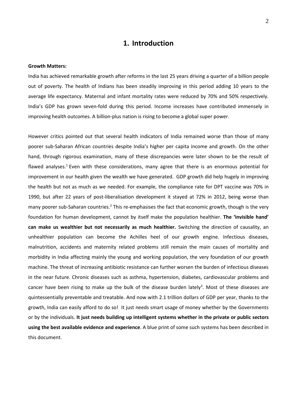## **1. Introduction**

#### **Growth Matters:**

India has achieved remarkable growth after reforms in the last 25 years driving a quarter of a billion people out of poverty. The health of Indians has been steadily improving in this period adding 10 years to the average life expectancy. Maternal and infant mortality rates were reduced by 70% and 50% respectively. India's GDP has grown seven-fold during this period. Income increases have contributed immensely in improving health outcomes. A billion-plus nation is rising to become a global super power.

However critics pointed out that several health indicators of India remained worse than those of many poorer sub-Saharan African countries despite India's higher per capita income and growth. On the other hand, through rigorous examination, many of these discrepancies were later shown to be the result of flawed analyses.<sup>1</sup> Even with these considerations, many agree that there is an enormous potential for improvement in our health given the wealth we have generated. GDP growth did help hugely in improving the health but not as much as we needed. For example, the compliance rate for DPT vaccine was 70% in 1990, but after 22 years of post-liberalisation development it stayed at 72% in 2012, being worse than many poorer sub-Saharan countries.<sup>2</sup> This re-emphasises the fact that economic growth, though is the very foundation for human development, cannot by itself make the population healthier. **The 'invisible hand' can make us wealthier but not necessarily as much healthier.** Switching the direction of causality, an unhealthier population can become the Achilles heel of our growth engine. Infectious diseases, malnutrition, accidents and maternity related problems still remain the main causes of mortality and morbidity in India affecting mainly the young and working population, the very foundation of our growth machine. The threat of increasing antibiotic resistance can further worsen the burden of infectious diseases in the near future. Chronic diseases such as asthma, hypertension, diabetes, cardiovascular problems and cancer have been rising to make up the bulk of the disease burden lately<sup>3</sup>. Most of these diseases are quintessentially preventable and treatable. And now with 2.1 trillion dollars of GDP per year, thanks to the growth, India can easily afford to do so! It just needs smart usage of money whether by the Governments or by the individuals. **It just needs building up intelligent systems whether in the private or public sectors using the best available evidence and experience**. A blue print of some such systems has been described in this document.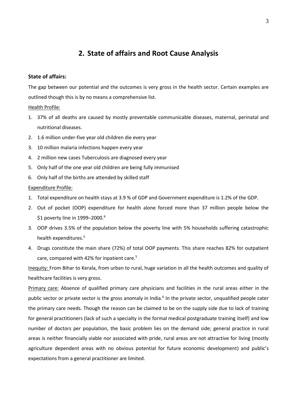## **2. State of affairs and Root Cause Analysis**

### **State of affairs:**

The gap between our potential and the outcomes is very gross in the health sector. Certain examples are outlined though this is by no means a comprehensive list.

#### Health Profile:

- 1. 37% of all deaths are caused by mostly preventable communicable diseases, maternal, perinatal and nutritional diseases.
- 2. 1.6 million under-five year old children die every year
- 3. 10 million malaria infections happen every year
- 4. 2 million new cases Tuberculosis are diagnosed every year
- 5. Only half of the one year old children are being fully immunised
- 6. Only half of the births are attended by skilled staff

### Expenditure Profile:

- 1. Total expenditure on health stays at 3.9 % of GDP and Government expenditure is 1.2% of the GDP.
- 2. Out of pocket (OOP) expenditure for health alone forced more than 37 million people below the \$1 poverty line in 1999–2000. 4
- 3. OOP drives 3.5% of the population below the poverty line with 5% households suffering catastrophic health expenditures.<sup>5</sup>
- 4. Drugs constitute the main share (72%) of total OOP payments. This share reaches 82% for outpatient care, compared with 42% for inpatient care.<sup>5</sup>

Inequity: From Bihar to Kerala, from urban to rural, huge variation in all the health outcomes and quality of healthcare facilities is very gross.

Primary care: Absence of qualified primary care physicians and facilities in the rural areas either in the public sector or private sector is the gross anomaly in India.<sup>6</sup> In the private sector, unqualified people cater the primary care needs. Though the reason can be claimed to be on the supply side due to lack of training for general practitioners (lack of such a specialty in the formal medical postgraduate training itself) and low number of doctors per population, the basic problem lies on the demand side; general practice in rural areas is neither financially viable nor associated with pride, rural areas are not attractive for living (mostly agriculture dependent areas with no obvious potential for future economic development) and public's expectations from a general practitioner are limited.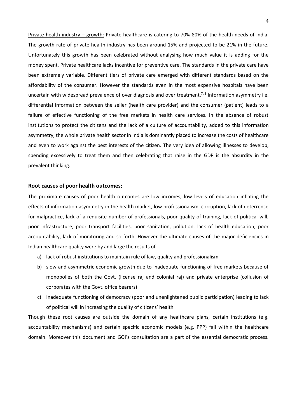Private health industry – growth: Private healthcare is catering to 70%-80% of the health needs of India. The growth rate of private health industry has been around 15% and projected to be 21% in the future. Unfortunately this growth has been celebrated without analysing how much value it is adding for the money spent. Private healthcare lacks incentive for preventive care. The standards in the private care have been extremely variable. Different tiers of private care emerged with different standards based on the affordability of the consumer. However the standards even in the most expensive hospitals have been uncertain with widespread prevalence of over diagnosis and over treatment.<sup>7,8</sup> Information asymmetry i.e. differential information between the seller (health care provider) and the consumer (patient) leads to a failure of effective functioning of the free markets in health care services. In the absence of robust institutions to protect the citizens and the lack of a culture of accountability, added to this information asymmetry, the whole private health sector in India is dominantly placed to increase the costs of healthcare and even to work against the best interests of the citizen. The very idea of allowing illnesses to develop, spending excessively to treat them and then celebrating that raise in the GDP is the absurdity in the prevalent thinking.

#### **Root causes of poor health outcomes:**

The proximate causes of poor health outcomes are low incomes, low levels of education inflating the effects of information asymmetry in the health market, low professionalism, corruption, lack of deterrence for malpractice, lack of a requisite number of professionals, poor quality of training, lack of political will, poor infrastructure, poor transport facilities, poor sanitation, pollution, lack of health education, poor accountability, lack of monitoring and so forth. However the ultimate causes of the major deficiencies in Indian healthcare quality were by and large the results of

- a) lack of robust institutions to maintain rule of law, quality and professionalism
- b) slow and asymmetric economic growth due to inadequate functioning of free markets because of monopolies of both the Govt. (license raj and colonial raj) and private enterprise (collusion of corporates with the Govt. office bearers)
- c) Inadequate functioning of democracy (poor and unenlightened public participation) leading to lack of political will in increasing the quality of citizens' health

Though these root causes are outside the domain of any healthcare plans, certain institutions (e.g. accountability mechanisms) and certain specific economic models (e.g. PPP) fall within the healthcare domain. Moreover this document and GOI's consultation are a part of the essential democratic process.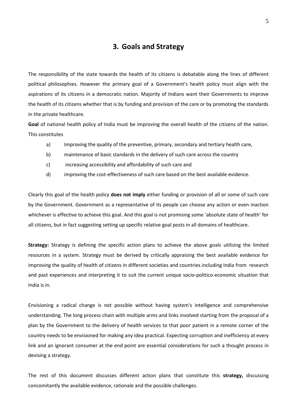## **3. Goals and Strategy**

The responsibility of the state towards the health of its citizens is debatable along the lines of different political philosophies. However the primary goal of a Government's health policy must align with the aspirations of its citizens in a democratic nation. Majority of Indians want their Governments to improve the health of its citizens whether that is by funding and provision of the care or by promoting the standards in the private healthcare.

**Goal** of national health policy of India must be improving the overall health of the citizens of the nation. This constitutes

- a) Improving the quality of the preventive, primary, secondary and tertiary health care,
- b) maintenance of basic standards in the delivery of such care across the country
- c) increasing accessibility and affordability of such care and
- d) improving the cost-effectiveness of such care based on the best available evidence.

Clearly this goal of the health policy **does not imply** either funding or provision of all or some of such care by the Government. Government as a representative of its people can choose any action or even inaction whichever is effective to achieve this goal. And this goal is not promising some 'absolute state of health' for all citizens, but in fact suggesting setting up specific relative goal posts in all domains of healthcare.

**Strategy:** Strategy is defining the specific action plans to achieve the above goals utilising the limited resources in a system. Strategy must be derived by critically appraising the best available evidence for improving the quality of health of citizens in different societies and countries including India from research and past experiences and interpreting it to suit the current unique socio-politico-economic situation that India is in.

Envisioning a radical change is not possible without having system's intelligence and comprehensive understanding. The long process chain with multiple arms and links involved starting from the proposal of a plan by the Government to the delivery of health services to that poor patient in a remote corner of the country needs to be envisioned for making any idea practical. Expecting corruption and inefficiency at every link and an ignorant consumer at the end point are essential considerations for such a thought process in devising a strategy.

The rest of this document discusses different action plans that constitute this **strategy,** discussing concomitantly the available evidence, rationale and the possible challenges.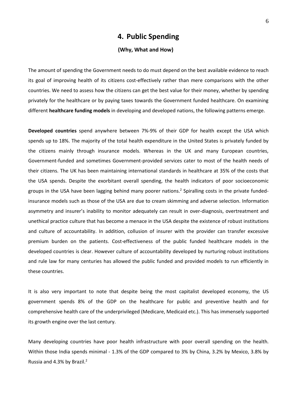## **4. Public Spending**

### **(Why, What and How)**

The amount of spending the Government needs to do must depend on the best available evidence to reach its goal of improving health of its citizens cost-effectively rather than mere comparisons with the other countries. We need to assess how the citizens can get the best value for their money, whether by spending privately for the healthcare or by paying taxes towards the Government funded healthcare. On examining different **healthcare funding models** in developing and developed nations, the following patterns emerge.

**Developed countries** spend anywhere between 7%-9% of their GDP for health except the USA which spends up to 18%. The majority of the total health expenditure in the United States is privately funded by the citizens mainly through insurance models. Whereas in the UK and many European countries, Government-funded and sometimes Government-provided services cater to most of the health needs of their citizens. The UK has been maintaining international standards in healthcare at 35% of the costs that the USA spends. Despite the exorbitant overall spending, the health indicators of poor socioeconomic groups in the USA have been lagging behind many poorer nations.<sup>2</sup> Spiralling costs in the private fundedinsurance models such as those of the USA are due to cream skimming and adverse selection. Information asymmetry and insurer's inability to monitor adequately can result in over-diagnosis, overtreatment and unethical practice culture that has become a menace in the USA despite the existence of robust institutions and culture of accountability. In addition, collusion of insurer with the provider can transfer excessive premium burden on the patients. Cost-effectiveness of the public funded healthcare models in the developed countries is clear. However culture of accountability developed by nurturing robust institutions and rule law for many centuries has allowed the public funded and provided models to run efficiently in these countries.

It is also very important to note that despite being the most capitalist developed economy, the US government spends 8% of the GDP on the healthcare for public and preventive health and for comprehensive health care of the underprivileged (Medicare, Medicaid etc.). This has immensely supported its growth engine over the last century.

Many developing countries have poor health infrastructure with poor overall spending on the health. Within those India spends minimal - 1.3% of the GDP compared to 3% by China, 3.2% by Mexico, 3.8% by Russia and 4.3% by Brazil.2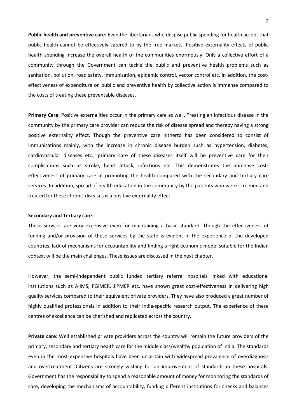**Public health and preventive care:** Even the libertarians who despise public spending for health accept that public health cannot be effectively catered to by the free markets. Positive externality effects of public health spending increase the overall health of the communities enormously. Only a collective effort of a community through the Government can tackle the public and preventive health problems such as sanitation, pollution, road safety, immunisation, epidemic control, vector control etc. In addition, the costeffectiveness of expenditure on public and preventive health by collective action is immense compared to the costs of treating these preventable diseases.

**Primary Care:** Positive externalities occur in the primary care as well. Treating an infectious disease in the community by the primary care provider can reduce the risk of disease spread and thereby having a strong positive externality effect. Though the preventive care hitherto has been considered to consist of immunisations mainly, with the increase in chronic disease burden such as hypertension, diabetes, cardiovascular diseases etc., primary care of these diseases itself will be preventive care for their complications such as stroke, heart attack, infections etc. This demonstrates the immense costeffectiveness of primary care in promoting the health compared with the secondary and tertiary care services. In addition, spread of health education in the community by the patients who were screened and treated for these chronic diseases is a positive externality effect.

#### **Secondary and Tertiary care**:

These services are very expensive even for maintaining a basic standard. Though the effectiveness of funding and/or provision of these services by the state is evident in the experience of the developed countries, lack of mechanisms for accountability and finding a right economic model suitable for the Indian context will be the main challenges. These issues are discussed in the next chapter.

However, the semi-independent public funded tertiary referral hospitals linked with educational institutions such as AIIMS, PGIMER, JIPMER etc. have shown great cost-effectiveness in delivering high quality services compared to their equivalent private providers. They have also produced a great number of highly qualified professionals in addition to their India-specific research output. The experience of these centres of excellence can be cherished and replicated across the country.

**Private care**: Well established private providers across the country will remain the future providers of the primary, secondary and tertiary health care for the middle class/wealthy population of India. The standards even in the most expensive hospitals have been uncertain with widespread prevalence of overdiagnosis and overtreatment. Citizens are strongly wishing for an improvement of standards in these hospitals. Government has the responsibility to spend a reasonable amount of money for monitoring the standards of care, developing the mechanisms of accountability, funding different institutions for checks and balances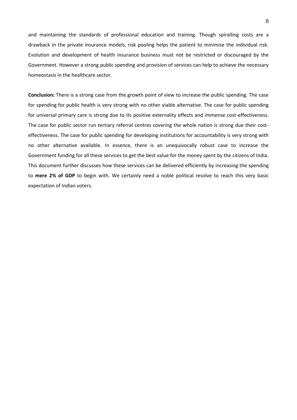and maintaining the standards of professional education and training. Though spiralling costs are a drawback in the private insurance models, risk pooling helps the patient to minimise the individual risk. Evolution and development of health insurance business must not be restricted or discouraged by the Government. However a strong public spending and provision of services can help to achieve the necessary homeostasis in the healthcare sector.

**Conclusion:** There is a strong case from the growth point of view to increase the public spending. The case for spending for public health is very strong with no other viable alternative. The case for public spending for universal primary care is strong due to its positive externality effects and immense cost-effectiveness. The case for public sector run tertiary referral centres covering the whole nation is strong due their costeffectiveness. The case for public spending for developing institutions for accountability is very strong with no other alternative available. In essence, there is an unequivocally robust case to increase the Government funding for all these services to get the best value for the money spent by the citizens of India. This document further discusses how these services can be delivered efficiently by increasing the spending to **mere 2% of GDP** to begin with. We certainly need a noble political resolve to reach this very basic expectation of Indian voters.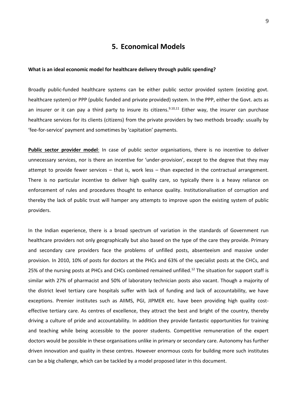## **5. Economical Models**

#### **What is an ideal economic model for healthcare delivery through public spending?**

Broadly public-funded healthcare systems can be either public sector provided system (existing govt. healthcare system) or PPP (public funded and private provided) system. In the PPP, either the Govt. acts as an insurer or it can pay a third party to insure its citizens.<sup>9.10,11</sup> Either way, the insurer can purchase healthcare services for its clients (citizens) from the private providers by two methods broadly: usually by 'fee-for-service' payment and sometimes by 'capitation' payments.

**Public sector provider model**: In case of public sector organisations, there is no incentive to deliver unnecessary services, nor is there an incentive for 'under-provision', except to the degree that they may attempt to provide fewer services – that is, work less – than expected in the contractual arrangement. There is no particular incentive to deliver high quality care, so typically there is a heavy reliance on enforcement of rules and procedures thought to enhance quality. Institutionalisation of corruption and thereby the lack of public trust will hamper any attempts to improve upon the existing system of public providers.

In the Indian experience, there is a broad spectrum of variation in the standards of Government run healthcare providers not only geographically but also based on the type of the care they provide. Primary and secondary care providers face the problems of unfilled posts, absenteeism and massive under provision. In 2010, 10% of posts for doctors at the PHCs and 63% of the specialist posts at the CHCs, and 25% of the nursing posts at PHCs and CHCs combined remained unfilled.<sup>12</sup> The situation for support staff is similar with 27% of pharmacist and 50% of laboratory technician posts also vacant. Though a majority of the district level tertiary care hospitals suffer with lack of funding and lack of accountability, we have exceptions. Premier institutes such as AIIMS, PGI, JIPMER etc. have been providing high quality costeffective tertiary care. As centres of excellence, they attract the best and bright of the country, thereby driving a culture of pride and accountability. In addition they provide fantastic opportunities for training and teaching while being accessible to the poorer students. Competitive remuneration of the expert doctors would be possible in these organisations unlike in primary or secondary care. Autonomy has further driven innovation and quality in these centres. However enormous costs for building more such institutes can be a big challenge, which can be tackled by a model proposed later in this document.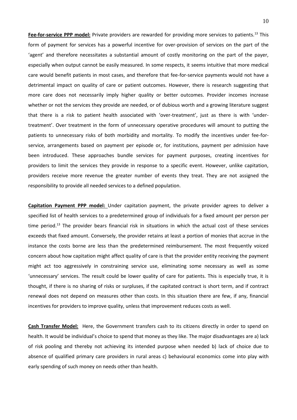**Fee-for-service PPP model:** Private providers are rewarded for providing more services to patients.<sup>13</sup> This form of payment for services has a powerful incentive for over-provision of services on the part of the 'agent' and therefore necessitates a substantial amount of costly monitoring on the part of the payer, especially when output cannot be easily measured. In some respects, it seems intuitive that more medical care would benefit patients in most cases, and therefore that fee-for-service payments would not have a detrimental impact on quality of care or patient outcomes. However, there is research suggesting that more care does not necessarily imply higher quality or better outcomes. Provider incomes increase whether or not the services they provide are needed, or of dubious worth and a growing literature suggest that there is a risk to patient health associated with 'over-treatment', just as there is with 'undertreatment'. Over treatment in the form of unnecessary operative procedures will amount to putting the patients to unnecessary risks of both morbidity and mortality. To modify the incentives under fee-forservice, arrangements based on payment per episode or, for institutions, payment per admission have been introduced. These approaches bundle services for payment purposes, creating incentives for providers to limit the services they provide in response to a specific event. However, unlike capitation, providers receive more revenue the greater number of events they treat. They are not assigned the responsibility to provide all needed services to a defined population.

**Capitation Payment PPP model:** Under capitation payment, the private provider agrees to deliver a specified list of health services to a predetermined group of individuals for a fixed amount per person per time period.<sup>13</sup> The provider bears financial risk in situations in which the actual cost of these services exceeds that fixed amount. Conversely, the provider retains at least a portion of monies that accrue in the instance the costs borne are less than the predetermined reimbursement. The most frequently voiced concern about how capitation might affect quality of care is that the provider entity receiving the payment might act too aggressively in constraining service use, eliminating some necessary as well as some 'unnecessary' services. The result could be lower quality of care for patients. This is especially true, it is thought, if there is no sharing of risks or surpluses, if the capitated contract is short term, and if contract renewal does not depend on measures other than costs. In this situation there are few, if any, financial incentives for providers to improve quality, unless that improvement reduces costs as well.

**Cash Transfer Model:** Here, the Government transfers cash to its citizens directly in order to spend on health. It would be individual's choice to spend that money as they like. The major disadvantages are a) lack of risk pooling and thereby not achieving its intended purpose when needed b) lack of choice due to absence of qualified primary care providers in rural areas c) behavioural economics come into play with early spending of such money on needs other than health.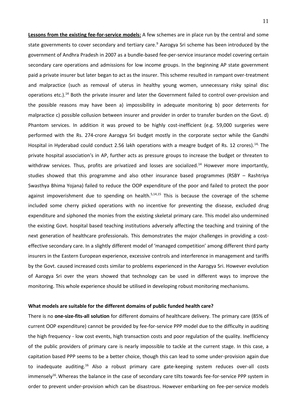**Lessons from the existing fee-for-service models:** A few schemes are in place run by the central and some state governments to cover secondary and tertiary care.<sup>9</sup> Aarogya Sri scheme has been introduced by the government of Andhra Pradesh in 2007 as a bundle-based fee-per-service insurance model covering certain secondary care operations and admissions for low income groups. In the beginning AP state government paid a private insurer but later began to act as the insurer. This scheme resulted in rampant over-treatment and malpractice (such as removal of uterus in healthy young women, unnecessary risky spinal disc operations etc.).<sup>14</sup> Both the private insurer and later the Government failed to control over-provision and the possible reasons may have been a) impossibility in adequate monitoring b) poor deterrents for malpractice c) possible collusion between insurer and provider in order to transfer burden on the Govt. d) Phantom services. In addition it was proved to be highly cost-inefficient (e.g. 59,000 surgeries were performed with the Rs. 274-crore Aarogya Sri budget mostly in the corporate sector while the Gandhi Hospital in Hyderabad could conduct 2.56 lakh operations with a meagre budget of Rs. 12 crores).<sup>14,</sup> The private hospital association's in AP, further acts as pressure groups to increase the budget or threaten to withdraw services. Thus, profits are privatized and losses are socialized.<sup>14</sup> However more importantly, studies showed that this programme and also other insurance based programmes (RSBY – Rashtriya Swasthya Bhima Yojana) failed to reduce the OOP expenditure of the poor and failed to protect the poor against impoverishment due to spending on health.<sup>5,14,15</sup> This is because the coverage of the scheme included some cherry picked operations with no incentive for preventing the disease, excluded drug expenditure and siphoned the monies from the existing skeletal primary care. This model also undermined the existing Govt. hospital based teaching institutions adversely affecting the teaching and training of the next generation of healthcare professionals. This demonstrates the major challenges in providing a costeffective secondary care. In a slightly different model of 'managed competition' among different third party insurers in the Eastern European experience, excessive controls and interference in management and tariffs by the Govt. caused increased costs similar to problems experienced in the Aarogya Sri. However evolution of Aarogya Sri over the years showed that technology can be used in different ways to improve the monitoring. This whole experience should be utilised in developing robust monitoring mechanisms.

#### **What models are suitable for the different domains of public funded health care?**

There is no **one-size-fits-all solution** for different domains of healthcare delivery. The primary care (85% of current OOP expenditure) cannot be provided by fee-for-service PPP model due to the difficulty in auditing the high frequency - low cost events, high transaction costs and poor regulation of the quality. Inefficiency of the public providers of primary care is nearly impossible to tackle at the current stage. In this case, a capitation based PPP seems to be a better choice, though this can lead to some under-provision again due to inadequate auditing.<sup>16</sup> Also a robust primary care gate-keeping system reduces over-all costs immensely<sup>16</sup>. Whereas the balance in the case of secondary care tilts towards fee-for-service PPP system in order to prevent under-provision which can be disastrous. However embarking on fee-per-service models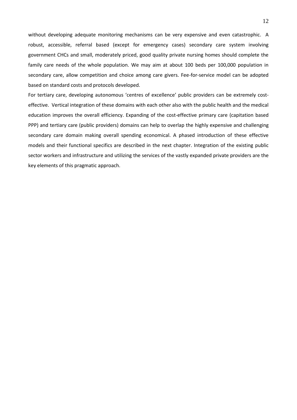without developing adequate monitoring mechanisms can be very expensive and even catastrophic. A robust, accessible, referral based (except for emergency cases) secondary care system involving government CHCs and small, moderately priced, good quality private nursing homes should complete the family care needs of the whole population. We may aim at about 100 beds per 100,000 population in secondary care, allow competition and choice among care givers. Fee-for-service model can be adopted based on standard costs and protocols developed.

For tertiary care, developing autonomous 'centres of excellence' public providers can be extremely costeffective. Vertical integration of these domains with each other also with the public health and the medical education improves the overall efficiency. Expanding of the cost-effective primary care (capitation based PPP) and tertiary care (public providers) domains can help to overlap the highly expensive and challenging secondary care domain making overall spending economical. A phased introduction of these effective models and their functional specifics are described in the next chapter. Integration of the existing public sector workers and infrastructure and utilizing the services of the vastly expanded private providers are the key elements of this pragmatic approach.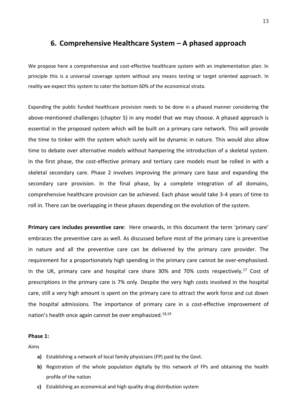## **6. Comprehensive Healthcare System – A phased approach**

We propose here a comprehensive and cost-effective healthcare system with an implementation plan. In principle this is a universal coverage system without any means testing or target oriented approach. In reality we expect this system to cater the bottom 60% of the economical strata.

Expanding the public funded healthcare provision needs to be done in a phased manner considering the above-mentioned challenges (chapter 5) in any model that we may choose. A phased approach is essential in the proposed system which will be built on a primary care network. This will provide the time to tinker with the system which surely will be dynamic in nature. This would also allow time to debate over alternative models without hampering the introduction of a skeletal system. In the first phase, the cost-effective primary and tertiary care models must be rolled in with a skeletal secondary care. Phase 2 involves improving the primary care base and expanding the secondary care provision. In the final phase, by a complete integration of all domains, comprehensive healthcare provision can be achieved. Each phase would take 3-4 years of time to roll in. There can be overlapping in these phases depending on the evolution of the system.

**Primary care includes preventive care**: Here onwards, in this document the term 'primary care' embraces the preventive care as well. As discussed before most of the primary care is preventive in nature and all the preventive care can be delivered by the primary care provider. The requirement for a proportionately high spending in the primary care cannot be over-emphasised. In the UK, primary care and hospital care share  $30\%$  and  $70\%$  costs respectively.<sup>17</sup> Cost of prescriptions in the primary care is 7% only. Despite the very high costs involved in the hospital care, still a very high amount is spent on the primary care to attract the work force and cut down the hospital admissions. The importance of primary care in a cost-effective improvement of nation's health once again cannot be over emphasized.<sup>18,19</sup>

#### **Phase 1:**

Aims

- **a)** Establishing a network of local family physicians (FP) paid by the Govt.
- **b)** Registration of the whole population digitally by this network of FPs and obtaining the health profile of the nation
- **c)** Establishing an economical and high quality drug distribution system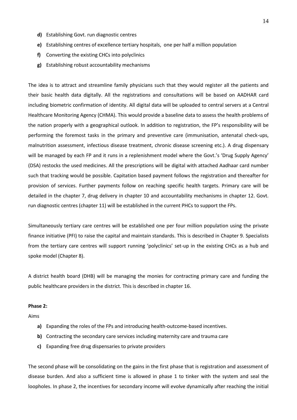- **d)** Establishing Govt. run diagnostic centres
- **e)** Establishing centres of excellence tertiary hospitals, one per half a million population
- **f)** Converting the existing CHCs into polyclinics
- **g)** Establishing robust accountability mechanisms

The idea is to attract and streamline family physicians such that they would register all the patients and their basic health data digitally. All the registrations and consultations will be based on AADHAR card including biometric confirmation of identity. All digital data will be uploaded to central servers at a Central Healthcare Monitoring Agency (CHMA). This would provide a baseline data to assess the health problems of the nation properly with a geographical outlook. In addition to registration, the FP's responsibility will be performing the foremost tasks in the primary and preventive care (immunisation, antenatal check-ups, malnutrition assessment, infectious disease treatment, chronic disease screening etc.). A drug dispensary will be managed by each FP and it runs in a replenishment model where the Govt.'s 'Drug Supply Agency' (DSA) restocks the used medicines. All the prescriptions will be digital with attached Aadhaar card number such that tracking would be possible. Capitation based payment follows the registration and thereafter for provision of services. Further payments follow on reaching specific health targets. Primary care will be detailed in the chapter 7, drug delivery in chapter 10 and accountability mechanisms in chapter 12. Govt. run diagnostic centres (chapter 11) will be established in the current PHCs to support the FPs.

Simultaneously tertiary care centres will be established one per four million population using the private finance initiative (PFI) to raise the capital and maintain standards. This is described in Chapter 9. Specialists from the tertiary care centres will support running 'polyclinics' set-up in the existing CHCs as a hub and spoke model (Chapter 8).

A district health board (DHB) will be managing the monies for contracting primary care and funding the public healthcare providers in the district. This is described in chapter 16.

### **Phase 2:**

Aims

- **a)** Expanding the roles of the FPs and introducing health-outcome-based incentives.
- **b)** Contracting the secondary care services including maternity care and trauma care
- **c)** Expanding free drug dispensaries to private providers

The second phase will be consolidating on the gains in the first phase that is registration and assessment of disease burden. And also a sufficient time is allowed in phase 1 to tinker with the system and seal the loopholes. In phase 2, the incentives for secondary income will evolve dynamically after reaching the initial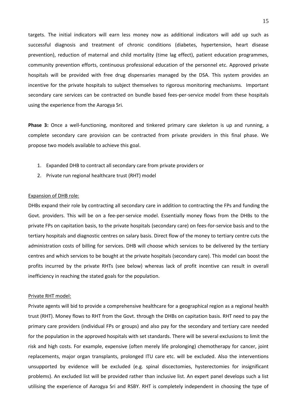targets. The initial indicators will earn less money now as additional indicators will add up such as successful diagnosis and treatment of chronic conditions (diabetes, hypertension, heart disease prevention), reduction of maternal and child mortality (time lag effect), patient education programmes, community prevention efforts, continuous professional education of the personnel etc. Approved private hospitals will be provided with free drug dispensaries managed by the DSA. This system provides an incentive for the private hospitals to subject themselves to rigorous monitoring mechanisms. Important secondary care services can be contracted on bundle based fees-per-service model from these hospitals using the experience from the Aarogya Sri.

**Phase 3:** Once a well-functioning, monitored and tinkered primary care skeleton is up and running, a complete secondary care provision can be contracted from private providers in this final phase. We propose two models available to achieve this goal.

- 1. Expanded DHB to contract all secondary care from private providers or
- 2. Private run regional healthcare trust (RHT) model

#### Expansion of DHB role:

DHBs expand their role by contracting all secondary care in addition to contracting the FPs and funding the Govt. providers. This will be on a fee-per-service model. Essentially money flows from the DHBs to the private FPs on capitation basis, to the private hospitals (secondary care) on fees-for-service basis and to the tertiary hospitals and diagnostic centres on salary basis. Direct flow of the money to tertiary centre cuts the administration costs of billing for services. DHB will choose which services to be delivered by the tertiary centres and which services to be bought at the private hospitals (secondary care). This model can boost the profits incurred by the private RHTs (see below) whereas lack of profit incentive can result in overall inefficiency in reaching the stated goals for the population.

#### Private RHT model:

Private agents will bid to provide a comprehensive healthcare for a geographical region as a regional health trust (RHT). Money flows to RHT from the Govt. through the DHBs on capitation basis. RHT need to pay the primary care providers (individual FPs or groups) and also pay for the secondary and tertiary care needed for the population in the approved hospitals with set standards. There will be several exclusions to limit the risk and high costs. For example, expensive (often merely life prolonging) chemotherapy for cancer, joint replacements, major organ transplants, prolonged ITU care etc. will be excluded. Also the interventions unsupported by evidence will be excluded (e.g. spinal discectomies, hysterectomies for insignificant problems). An excluded list will be provided rather than inclusive list. An expert panel develops such a list utilising the experience of Aarogya Sri and RSBY. RHT is completely independent in choosing the type of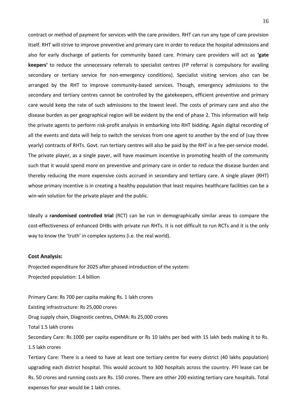contract or method of payment for services with the care providers. RHT can run any type of care provision itself. RHT will strive to improve preventive and primary care in order to reduce the hospital admissions and also for early discharge of patients for community based care. Primary care providers will act as **'gate keepers'** to reduce the unnecessary referrals to specialist centres (FP referral is compulsory for availing secondary or tertiary service for non-emergency conditions). Specialist visiting services also can be arranged by the RHT to improve community-based services. Though, emergency admissions to the secondary and tertiary centres cannot be controlled by the gatekeepers, efficient preventive and primary care would keep the rate of such admissions to the lowest level. The costs of primary care and also the disease burden as per geographical region will be evident by the end of phase 2. This information will help the private agents to perform risk-profit analysis in embarking into RHT bidding. Again digital recording of all the events and data will help to switch the services from one agent to another by the end of (say three yearly) contracts of RHTs. Govt. run tertiary centres will also be paid by the RHT in a fee-per-service model. The private player, as a single payer, will have maximum incentive in promoting health of the community such that it would spend more on preventive and primary care in order to reduce the disease burden and thereby reducing the more expensive costs accrued in secondary and tertiary care. A single player (RHT) whose primary incentive is in creating a healthy population that least requires healthcare facilities can be a win-win solution for the private player and the public.

Ideally a **randomised controlled trial** (RCT) can be run in demographically similar areas to compare the cost-effectiveness of enhanced DHBs with private run RHTs. It is not difficult to run RCTs and it is the only way to know the 'truth' in complex systems (i.e. the real world).

#### **Cost Analysis:**

Projected expenditure for 2025 after phased introduction of the system: Projected population: 1.4 billion

Primary Care: Rs 700 per capita making Rs. 1 lakh crores Existing infrastructure: Rs 25,000 crores Drug supply chain, Diagnostic centres, CHMA: Rs 25,000 crores Total 1.5 lakh crores Secondary Care: Rs 1000 per capita expenditure or Rs 10 lakhs per bed with 15 lakh beds making it to Rs. 1.5 lakh crores

Tertiary Care: There is a need to have at least one tertiary centre for every district (40 lakhs population) upgrading each district hospital. This would account to 300 hospitals across the country. PFI lease can be Rs. 50 crores and running costs are Rs. 150 crores. There are other 200 existing tertiary care hospitals. Total expenses for year would be 1 lakh crores.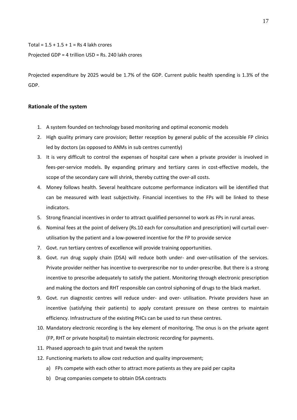#### Total =  $1.5 + 1.5 + 1 =$  Rs 4 lakh crores

#### Projected GDP = 4 trillion USD = Rs. 240 lakh crores

Projected expenditure by 2025 would be 1.7% of the GDP. Current public health spending is 1.3% of the GDP.

### **Rationale of the system**

- 1. A system founded on technology based monitoring and optimal economic models
- 2. High quality primary care provision; Better reception by general public of the accessible FP clinics led by doctors (as opposed to ANMs in sub centres currently)
- 3. It is very difficult to control the expenses of hospital care when a private provider is involved in fees-per-service models. By expanding primary and tertiary cares in cost-effective models, the scope of the secondary care will shrink, thereby cutting the over-all costs.
- 4. Money follows health. Several healthcare outcome performance indicators will be identified that can be measured with least subjectivity. Financial incentives to the FPs will be linked to these indicators.
- 5. Strong financial incentives in order to attract qualified personnel to work as FPs in rural areas.
- 6. Nominal fees at the point of delivery (Rs.10 each for consultation and prescription) will curtail overutilisation by the patient and a low-powered incentive for the FP to provide service
- 7. Govt. run tertiary centres of excellence will provide training opportunities.
- 8. Govt. run drug supply chain (DSA) will reduce both under- and over-utilisation of the services. Private provider neither has incentive to overprescribe nor to under-prescribe. But there is a strong incentive to prescribe adequately to satisfy the patient. Monitoring through electronic prescription and making the doctors and RHT responsible can control siphoning of drugs to the black market.
- 9. Govt. run diagnostic centres will reduce under- and over- utilisation. Private providers have an incentive (satisfying their patients) to apply constant pressure on these centres to maintain efficiency. Infrastructure of the existing PHCs can be used to run these centres.
- 10. Mandatory electronic recording is the key element of monitoring. The onus is on the private agent (FP, RHT or private hospital) to maintain electronic recording for payments.
- 11. Phased approach to gain trust and tweak the system
- 12. Functioning markets to allow cost reduction and quality improvement;
	- a) FPs compete with each other to attract more patients as they are paid per capita
	- b) Drug companies compete to obtain DSA contracts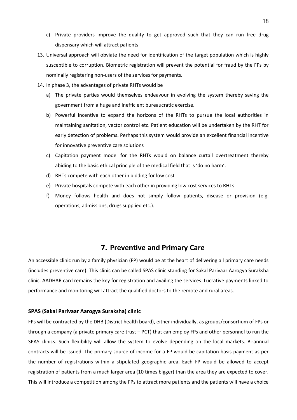- c) Private providers improve the quality to get approved such that they can run free drug dispensary which will attract patients
- 13. Universal approach will obviate the need for identification of the target population which is highly susceptible to corruption. Biometric registration will prevent the potential for fraud by the FPs by nominally registering non-users of the services for payments.
- 14. In phase 3, the advantages of private RHTs would be
	- a) The private parties would themselves endeavour in evolving the system thereby saving the government from a huge and inefficient bureaucratic exercise.
	- b) Powerful incentive to expand the horizons of the RHTs to pursue the local authorities in maintaining sanitation, vector control etc. Patient education will be undertaken by the RHT for early detection of problems. Perhaps this system would provide an excellent financial incentive for innovative preventive care solutions
	- c) Capitation payment model for the RHTs would on balance curtail overtreatment thereby abiding to the basic ethical principle of the medical field that is 'do no harm'.
	- d) RHTs compete with each other in bidding for low cost
	- e) Private hospitals compete with each other in providing low cost services to RHTs
	- f) Money follows health and does not simply follow patients, disease or provision (e.g. operations, admissions, drugs supplied etc.).

## **7. Preventive and Primary Care**

An accessible clinic run by a family physician (FP) would be at the heart of delivering all primary care needs (includes preventive care). This clinic can be called SPAS clinic standing for Sakal Parivaar Aarogya Suraksha clinic. AADHAR card remains the key for registration and availing the services. Lucrative payments linked to performance and monitoring will attract the qualified doctors to the remote and rural areas.

#### **SPAS (Sakal Parivaar Aarogya Suraksha) clinic**

FPs will be contracted by the DHB (District health board), either individually, as groups/consortium of FPs or through a company (a private primary care trust – PCT) that can employ FPs and other personnel to run the SPAS clinics. Such flexibility will allow the system to evolve depending on the local markets. Bi-annual contracts will be issued. The primary source of income for a FP would be capitation basis payment as per the number of registrations within a stipulated geographic area. Each FP would be allowed to accept registration of patients from a much larger area (10 times bigger) than the area they are expected to cover. This will introduce a competition among the FPs to attract more patients and the patients will have a choice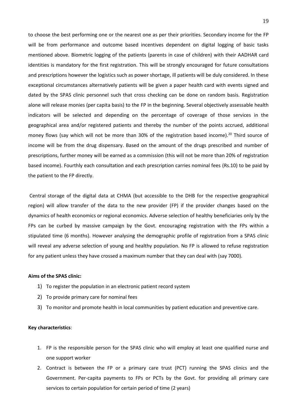to choose the best performing one or the nearest one as per their priorities. Secondary income for the FP will be from performance and outcome based incentives dependent on digital logging of basic tasks mentioned above. Biometric logging of the patients (parents in case of children) with their AADHAR card identities is mandatory for the first registration. This will be strongly encouraged for future consultations and prescriptions however the logistics such as power shortage, ill patients will be duly considered. In these exceptional circumstances alternatively patients will be given a paper health card with events signed and dated by the SPAS clinic personnel such that cross checking can be done on random basis. Registration alone will release monies (per capita basis) to the FP in the beginning. Several objectively assessable health indicators will be selected and depending on the percentage of coverage of those services in the geographical area and/or registered patients and thereby the number of the points accrued, additional money flows (say which will not be more than 30% of the registration based income).<sup>20</sup> Third source of income will be from the drug dispensary. Based on the amount of the drugs prescribed and number of prescriptions, further money will be earned as a commission (this will not be more than 20% of registration based income). Fourthly each consultation and each prescription carries nominal fees (Rs.10) to be paid by the patient to the FP directly.

Central storage of the digital data at CHMA (but accessible to the DHB for the respective geographical region) will allow transfer of the data to the new provider (FP) if the provider changes based on the dynamics of health economics or regional economics. Adverse selection of healthy beneficiaries only by the FPs can be curbed by massive campaign by the Govt. encouraging registration with the FPs within a stipulated time (6 months). However analysing the demographic profile of registration from a SPAS clinic will reveal any adverse selection of young and healthy population. No FP is allowed to refuse registration for any patient unless they have crossed a maximum number that they can deal with (say 7000).

### **Aims of the SPAS clinic:**

- 1) To register the population in an electronic patient record system
- 2) To provide primary care for nominal fees
- 3) To monitor and promote health in local communities by patient education and preventive care.

#### **Key characteristics**:

- 1. FP is the responsible person for the SPAS clinic who will employ at least one qualified nurse and one support worker
- 2. Contract is between the FP or a primary care trust (PCT) running the SPAS clinics and the Government. Per-capita payments to FPs or PCTs by the Govt. for providing all primary care services to certain population for certain period of time (2 years)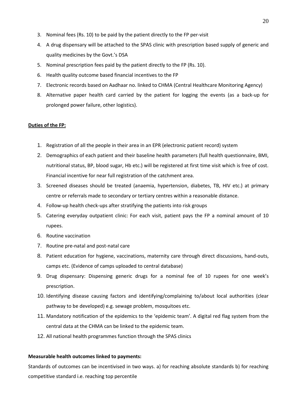- 3. Nominal fees (Rs. 10) to be paid by the patient directly to the FP per-visit
- 4. A drug dispensary will be attached to the SPAS clinic with prescription based supply of generic and quality medicines by the Govt.'s DSA
- 5. Nominal prescription fees paid by the patient directly to the FP (Rs. 10).
- 6. Health quality outcome based financial incentives to the FP
- 7. Electronic records based on Aadhaar no. linked to CHMA (Central Healthcare Monitoring Agency)
- 8. Alternative paper health card carried by the patient for logging the events (as a back-up for prolonged power failure, other logistics).

### **Duties of the FP:**

- 1. Registration of all the people in their area in an EPR (electronic patient record) system
- 2. Demographics of each patient and their baseline health parameters (full health questionnaire, BMI, nutritional status, BP, blood sugar, Hb etc.) will be registered at first time visit which is free of cost. Financial incentive for near full registration of the catchment area.
- 3. Screened diseases should be treated (anaemia, hypertension, diabetes, TB, HIV etc.) at primary centre or referrals made to secondary or tertiary centres within a reasonable distance.
- 4. Follow-up health check-ups after stratifying the patients into risk groups
- 5. Catering everyday outpatient clinic: For each visit, patient pays the FP a nominal amount of 10 rupees.
- 6. Routine vaccination
- 7. Routine pre-natal and post-natal care
- 8. Patient education for hygiene, vaccinations, maternity care through direct discussions, hand-outs, camps etc. (Evidence of camps uploaded to central database)
- 9. Drug dispensary: Dispensing generic drugs for a nominal fee of 10 rupees for one week's prescription.
- 10. Identifying disease causing factors and identifying/complaining to/about local authorities (clear pathway to be developed) e.g. sewage problem, mosquitoes etc.
- 11. Mandatory notification of the epidemics to the 'epidemic team'. A digital red flag system from the central data at the CHMA can be linked to the epidemic team.
- 12. All national health programmes function through the SPAS clinics

### **Measurable health outcomes linked to payments:**

Standards of outcomes can be incentivised in two ways. a) for reaching absolute standards b) for reaching competitive standard i.e. reaching top percentile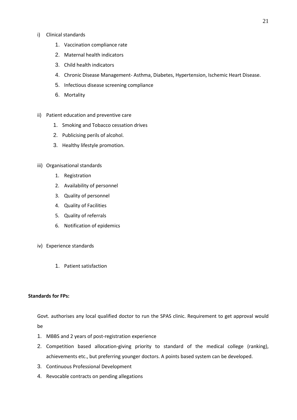### i) Clinical standards

- 1. Vaccination compliance rate
- 2. Maternal health indicators
- 3. Child health indicators
- 4. Chronic Disease Management- Asthma, Diabetes, Hypertension, Ischemic Heart Disease.
- 5. Infectious disease screening compliance
- 6. Mortality
- ii) Patient education and preventive care
	- 1. Smoking and Tobacco cessation drives
	- 2. Publicising perils of alcohol.
	- 3. Healthy lifestyle promotion.
- iii) Organisational standards
	- 1. Registration
	- 2. Availability of personnel
	- 3. Quality of personnel
	- 4. Quality of Facilities
	- 5. Quality of referrals
	- 6. Notification of epidemics
- iv) Experience standards
	- 1. Patient satisfaction

### **Standards for FPs:**

Govt. authorises any local qualified doctor to run the SPAS clinic. Requirement to get approval would be

- 1. MBBS and 2 years of post-registration experience
- 2. Competition based allocation-giving priority to standard of the medical college (ranking), achievements etc., but preferring younger doctors. A points based system can be developed.
- 3. Continuous Professional Development
- 4. Revocable contracts on pending allegations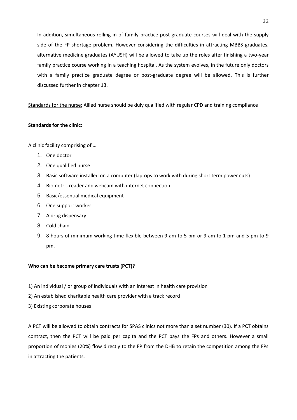In addition, simultaneous rolling in of family practice post-graduate courses will deal with the supply side of the FP shortage problem. However considering the difficulties in attracting MBBS graduates, alternative medicine graduates (AYUSH) will be allowed to take up the roles after finishing a two-year family practice course working in a teaching hospital. As the system evolves, in the future only doctors with a family practice graduate degree or post-graduate degree will be allowed. This is further discussed further in chapter 13.

Standards for the nurse: Allied nurse should be duly qualified with regular CPD and training compliance

### **Standards for the clinic:**

A clinic facility comprising of …

- 1. One doctor
- 2. One qualified nurse
- 3. Basic software installed on a computer (laptops to work with during short term power cuts)
- 4. Biometric reader and webcam with internet connection
- 5. Basic/essential medical equipment
- 6. One support worker
- 7. A drug dispensary
- 8. Cold chain
- 9. 8 hours of minimum working time flexible between 9 am to 5 pm or 9 am to 1 pm and 5 pm to 9 pm.

### **Who can be become primary care trusts (PCT)?**

- 1) An individual / or group of individuals with an interest in health care provision
- 2) An established charitable health care provider with a track record
- 3) Existing corporate houses

A PCT will be allowed to obtain contracts for SPAS clinics not more than a set number (30). If a PCT obtains contract, then the PCT will be paid per capita and the PCT pays the FPs and others. However a small proportion of monies (20%) flow directly to the FP from the DHB to retain the competition among the FPs in attracting the patients.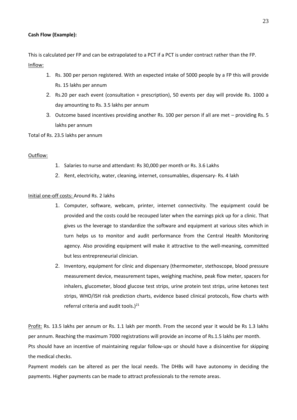### **Cash Flow (Example):**

This is calculated per FP and can be extrapolated to a PCT if a PCT is under contract rather than the FP. Inflow:

- 1. Rs. 300 per person registered. With an expected intake of 5000 people by a FP this will provide Rs. 15 lakhs per annum
- 2. Rs.20 per each event (consultation + prescription), 50 events per day will provide Rs. 1000 a day amounting to Rs. 3.5 lakhs per annum
- 3. Outcome based incentives providing another Rs. 100 per person if all are met providing Rs. 5 lakhs per annum

### Total of Rs. 23.5 lakhs per annum

### Outflow:

- 1. Salaries to nurse and attendant: Rs 30,000 per month or Rs. 3.6 Lakhs
- 2. Rent, electricity, water, cleaning, internet, consumables, dispensary- Rs. 4 lakh

### Initial one-off costs: Around Rs. 2 lakhs

- 1. Computer, software, webcam, printer, internet connectivity. The equipment could be provided and the costs could be recouped later when the earnings pick up for a clinic. That gives us the leverage to standardize the software and equipment at various sites which in turn helps us to monitor and audit performance from the Central Health Monitoring agency. Also providing equipment will make it attractive to the well-meaning, committed but less entrepreneurial clinician.
- 2. Inventory, equipment for clinic and dispensary (thermometer, stethoscope, blood pressure measurement device, measurement tapes, weighing machine, peak flow meter, spacers for inhalers, glucometer, blood glucose test strips, urine protein test strips, urine ketones test strips, WHO/ISH risk prediction charts, evidence based clinical protocols, flow charts with referral criteria and audit tools.) $^{21}$

Profit: Rs. 13.5 lakhs per annum or Rs. 1.1 lakh per month. From the second year it would be Rs 1.3 lakhs per annum. Reaching the maximum 7000 registrations will provide an income of Rs.1.5 lakhs per month. Pts should have an incentive of maintaining regular follow-ups or should have a disincentive for skipping the medical checks.

Payment models can be altered as per the local needs. The DHBs will have autonomy in deciding the payments. Higher payments can be made to attract professionals to the remote areas.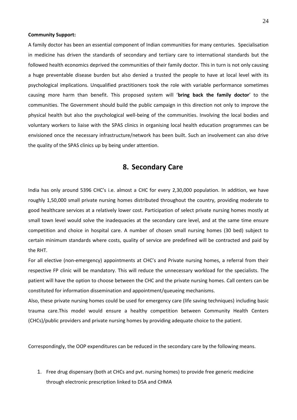#### **Community Support:**

A family doctor has been an essential component of Indian communities for many centuries. Specialisation in medicine has driven the standards of secondary and tertiary care to international standards but the followed health economics deprived the communities of their family doctor. This in turn is not only causing a huge preventable disease burden but also denied a trusted the people to have at local level with its psychological implications. Unqualified practitioners took the role with variable performance sometimes causing more harm than benefit. This proposed system will '**bring back the family doctor**' to the communities. The Government should build the public campaign in this direction not only to improve the physical health but also the psychological well-being of the communities. Involving the local bodies and voluntary workers to liaise with the SPAS clinics in organising local health education programmes can be envisioned once the necessary infrastructure/network has been built. Such an involvement can also drive the quality of the SPAS clinics up by being under attention.

## **8. Secondary Care**

India has only around 5396 CHC's i.e. almost a CHC for every 2,30,000 population. In addition, we have roughly 1,50,000 small private nursing homes distributed throughout the country, providing moderate to good healthcare services at a relatively lower cost. Participation of select private nursing homes mostly at small town level would solve the inadequacies at the secondary care level, and at the same time ensure competition and choice in hospital care. A number of chosen small nursing homes (30 bed) subject to certain minimum standards where costs, quality of service are predefined will be contracted and paid by the RHT.

For all elective (non-emergency) appointments at CHC's and Private nursing homes, a referral from their respective FP clinic will be mandatory. This will reduce the unnecessary workload for the specialists. The patient will have the option to choose between the CHC and the private nursing homes. Call centers can be constituted for information dissemination and appointment/queueing mechanisms.

Also, these private nursing homes could be used for emergency care (life saving techniques) including basic trauma care.This model would ensure a healthy competition between Community Health Centers (CHCs)/public providers and private nursing homes by providing adequate choice to the patient.

Correspondingly, the OOP expenditures can be reduced in the secondary care by the following means.

1. Free drug dispensary (both at CHCs and pvt. nursing homes) to provide free generic medicine through electronic prescription linked to DSA and CHMA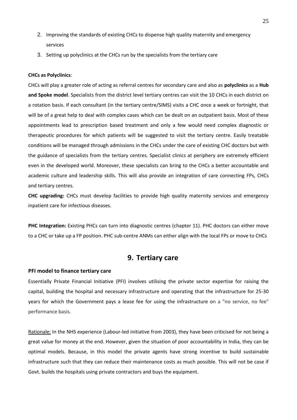- 2. Improving the standards of existing CHCs to dispense high quality maternity and emergency services
- 3. Setting up polyclinics at the CHCs run by the specialists from the tertiary care

#### **CHCs as Polyclinics**:

CHCs will play a greater role of acting as referral centres for secondary care and also as **polyclinics** as a **Hub and Spoke model**. Specialists from the district level tertiary centres can visit the 10 CHCs in each district on a rotation basis. If each consultant (in the tertiary centre/SIMS) visits a CHC once a week or fortnight, that will be of a great help to deal with complex cases which can be dealt on an outpatient basis. Most of these appointments lead to prescription based treatment and only a few would need complex diagnostic or therapeutic procedures for which patients will be suggested to visit the tertiary centre. Easily treatable conditions will be managed through admissions in the CHCs under the care of existing CHC doctors but with the guidance of specialists from the tertiary centres. Specialist clinics at periphery are extremely efficient even in the developed world. Moreover, these specialists can bring to the CHCs a better accountable and academic culture and leadership skills. This will also provide an integration of care connecting FPs, CHCs and tertiary centres.

**CHC upgrading:** CHCs must develop facilities to provide high quality maternity services and emergency inpatient care for infectious diseases.

**PHC Integration:** Existing PHCs can turn into diagnostic centres (chapter 11). PHC doctors can either move to a CHC or take up a FP position. PHC sub-centre ANMs can either align with the local FPs or move to CHCs

## **9. Tertiary care**

#### **PFI model to finance tertiary care**

Essentially Private Financial Initiative (PFI) involves utilising the private sector expertise for raising the capital, building the hospital and necessary infrastructure and operating that the infrastructure for 25-30 years for which the Government pays a lease fee for using the infrastructure on a "no service, no fee" performance basis.

Rationale: In the NHS experience (Labour-led initiative from 2003), they have been criticised for not being a great value for money at the end. However, given the situation of poor accountability in India, they can be optimal models. Because, in this model the private agents have strong incentive to build sustainable infrastructure such that they can reduce their maintenance costs as much possible. This will not be case if Govt. builds the hospitals using private contractors and buys the equipment.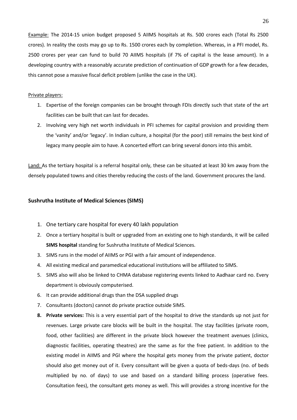Example: The 2014-15 union budget proposed 5 AIIMS hospitals at Rs. 500 crores each (Total Rs 2500 crores). In reality the costs may go up to Rs. 1500 crores each by completion. Whereas, in a PFI model, Rs. 2500 crores per year can fund to build 70 AIIMS hospitals (if 7% of capital is the lease amount). In a developing country with a reasonably accurate prediction of continuation of GDP growth for a few decades, this cannot pose a massive fiscal deficit problem (unlike the case in the UK).

### Private players:

- 1. Expertise of the foreign companies can be brought through FDIs directly such that state of the art facilities can be built that can last for decades.
- 2. Involving very high net worth individuals in PFI schemes for capital provision and providing them the 'vanity' and/or 'legacy'. In Indian culture, a hospital (for the poor) still remains the best kind of legacy many people aim to have. A concerted effort can bring several donors into this ambit.

Land: As the tertiary hospital is a referral hospital only, these can be situated at least 30 km away from the densely populated towns and cities thereby reducing the costs of the land. Government procures the land.

#### **Sushrutha Institute of Medical Sciences (SIMS)**

- 1. One tertiary care hospital for every 40 lakh population
- 2. Once a tertiary hospital is built or upgraded from an existing one to high standards, it will be called **SIMS hospital** standing for Sushrutha Institute of Medical Sciences.
- 3. SIMS runs in the model of AIIMS or PGI with a fair amount of independence.
- 4. All existing medical and paramedical educational institutions will be affiliated to SIMS.
- 5. SIMS also will also be linked to CHMA database registering events linked to Aadhaar card no. Every department is obviously computerised.
- 6. It can provide additional drugs than the DSA supplied drugs
- 7. Consultants (doctors) cannot do private practice outside SIMS.
- **8. Private services:** This is a very essential part of the hospital to drive the standards up not just for revenues. Large private care blocks will be built in the hospital. The stay facilities (private room, food, other facilities) are different in the private block however the treatment avenues (clinics, diagnostic facilities, operating theatres) are the same as for the free patient. In addition to the existing model in AIIMS and PGI where the hospital gets money from the private patient, doctor should also get money out of it. Every consultant will be given a quota of beds-days (no. of beds multiplied by no. of days) to use and based on a standard billing process (operative fees. Consultation fees), the consultant gets money as well. This will provides a strong incentive for the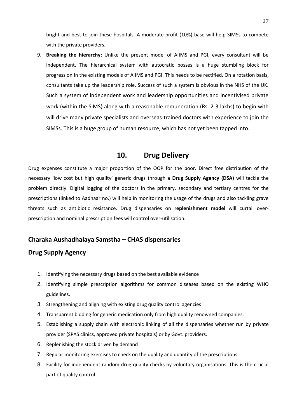bright and best to join these hospitals. A moderate-profit (10%) base will help SIMSs to compete with the private providers.

9. **Breaking the hierarchy:** Unlike the present model of AIIMS and PGI, every consultant will be independent. The hierarchical system with autocratic bosses is a huge stumbling block for progression in the existing models of AIIMS and PGI. This needs to be rectified. On a rotation basis, consultants take up the leadership role. Success of such a system is obvious in the NHS of the UK. Such a system of independent work and leadership opportunities and incentivised private work (within the SIMS) along with a reasonable remuneration (Rs. 2-3 lakhs) to begin with will drive many private specialists and overseas-trained doctors with experience to join the SIMSs. This is a huge group of human resource, which has not yet been tapped into.

## **10. Drug Delivery**

Drug expenses constitute a major proportion of the OOP for the poor. Direct free distribution of the necessary 'low cost but high quality' generic drugs through a **Drug Supply Agency (DSA)** will tackle the problem directly. Digital logging of the doctors in the primary, secondary and tertiary centres for the prescriptions (linked to Aadhaar no.) will help in monitoring the usage of the drugs and also tackling grave threats such as antibiotic resistance. Drug dispensaries on **replenishment model** will curtail overprescription and nominal prescription fees will control over-utilisation.

## **Charaka Aushadhalaya Samstha – CHAS dispensaries**

## **Drug Supply Agency**

- 1. Identifying the necessary drugs based on the best available evidence
- 2. Identifying simple prescription algorithms for common diseases based on the existing WHO guidelines.
- 3. Strengthening and aligning with existing drug quality control agencies
- 4. Transparent bidding for generic medication only from high quality renowned companies.
- 5. Establishing a supply chain with electronic linking of all the dispensaries whether run by private provider (SPAS clinics, approved private hospitals) or by Govt. providers.
- 6. Replenishing the stock driven by demand
- 7. Regular monitoring exercises to check on the quality and quantity of the prescriptions
- 8. Facility for independent random drug quality checks by voluntary organisations. This is the crucial part of quality control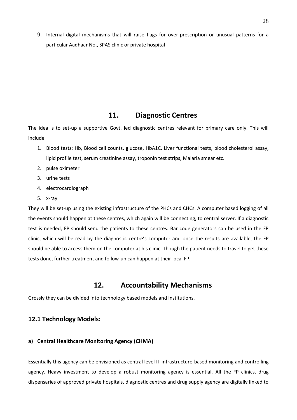9. Internal digital mechanisms that will raise flags for over-prescription or unusual patterns for a particular Aadhaar No., SPAS clinic or private hospital

## **11. Diagnostic Centres**

The idea is to set-up a supportive Govt. led diagnostic centres relevant for primary care only. This will include

- 1. Blood tests: Hb, Blood cell counts, glucose, HbA1C, Liver functional tests, blood cholesterol assay, lipid profile test, serum creatinine assay, troponin test strips, Malaria smear etc.
- 2. pulse oximeter
- 3. urine tests
- 4. electrocardiograph
- 5. x-ray

They will be set-up using the existing infrastructure of the PHCs and CHCs. A computer based logging of all the events should happen at these centres, which again will be connecting, to central server. If a diagnostic test is needed, FP should send the patients to these centres. Bar code generators can be used in the FP clinic, which will be read by the diagnostic centre's computer and once the results are available, the FP should be able to access them on the computer at his clinic. Though the patient needs to travel to get these tests done, further treatment and follow-up can happen at their local FP.

## **12. Accountability Mechanisms**

Grossly they can be divided into technology based models and institutions.

## **12.1 Technology Models:**

## **a) Central Healthcare Monitoring Agency (CHMA)**

Essentially this agency can be envisioned as central level IT infrastructure-based monitoring and controlling agency. Heavy investment to develop a robust monitoring agency is essential. All the FP clinics, drug dispensaries of approved private hospitals, diagnostic centres and drug supply agency are digitally linked to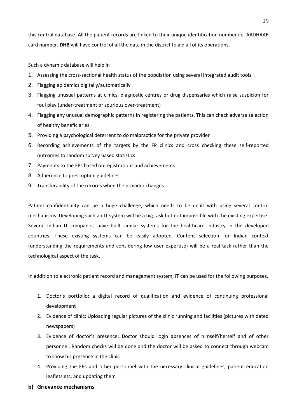this central database. All the patient records are linked to their unique identification number i.e. AADHAAR card number. **DHB** will have control of all the data in the district to aid all of its operations.

Such a dynamic database will help in

- 1. Assessing the cross-sectional health status of the population using several integrated audit tools
- 2. Flagging epidemics digitally/automatically
- 3. Flagging unusual patterns at clinics, diagnostic centres or drug dispensaries which raise suspicion for foul play (under-treatment or spurious over-treatment)
- 4. Flagging any unusual demographic patterns in registering the patients. This can check adverse selection of healthy beneficiaries.
- 5. Providing a psychological deterrent to do malpractice for the private provider
- 6. Recording achievements of the targets by the FP clinics and cross checking these self-reported outcomes to random survey based statistics
- 7. Payments to the FPs based on registrations and achievements
- 8. Adherence to prescription guidelines
- 9. Transferability of the records when the provider changes

Patient confidentiality can be a huge challenge, which needs to be dealt with using several control mechanisms. Developing such an IT system will be a big task but not impossible with the existing expertise. Several Indian IT companies have built similar systems for the healthcare industry in the developed countries. These existing systems can be easily adopted. Content selection for Indian context (understanding the requirements and considering low user expertise) will be a real task rather than the technological aspect of the task.

In addition to electronic patient record and management system, IT can be used for the following purposes.

- 1. Doctor's portfolio: a digital record of qualification and evidence of continuing professional development
- 2. Evidence of clinic: Uploading regular pictures of the clinic running and facilities (pictures with dated newspapers)
- 3. Evidence of doctor's presence: Doctor should login absences of himself/herself and of other personnel. Random checks will be done and the doctor will be asked to connect through webcam to show his presence in the clinic
- 4. Providing the FPs and other personnel with the necessary clinical guidelines, patient education leaflets etc. and updating them
- **b) Grievance mechanisms**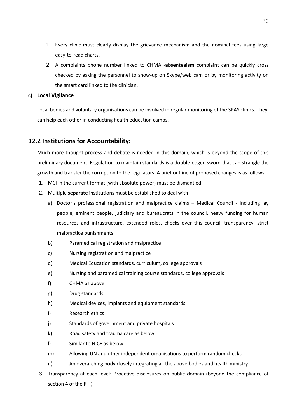- 1. Every clinic must clearly display the grievance mechanism and the nominal fees using large easy-to-read charts.
- 2. A complaints phone number linked to CHMA -**absenteeism** complaint can be quickly cross checked by asking the personnel to show-up on Skype/web cam or by monitoring activity on the smart card linked to the clinician.

## **c) Local Vigilance**

Local bodies and voluntary organisations can be involved in regular monitoring of the SPAS clinics. They can help each other in conducting health education camps.

## **12.2 Institutions for Accountability:**

Much more thought process and debate is needed in this domain, which is beyond the scope of this preliminary document. Regulation to maintain standards is a double-edged sword that can strangle the growth and transfer the corruption to the regulators. A brief outline of proposed changes is as follows.

- 1. MCI in the current format (with absolute power) must be dismantled.
- 2. Multiple **separate** institutions must be established to deal with
	- a) Doctor's professional registration and malpractice claims Medical Council Including lay people, eminent people, judiciary and bureaucrats in the council, heavy funding for human resources and infrastructure, extended roles, checks over this council, transparency, strict malpractice punishments
	- b) Paramedical registration and malpractice
	- c) Nursing registration and malpractice
	- d) Medical Education standards, curriculum, college approvals
	- e) Nursing and paramedical training course standards, college approvals
	- f) CHMA as above
	- g) Drug standards
	- h) Medical devices, implants and equipment standards
	- i) Research ethics
	- j) Standards of government and private hospitals
	- k) Road safety and trauma care as below
	- l) Similar to NICE as below
	- m) Allowing UN and other independent organisations to perform random checks
	- n) An overarching body closely integrating all the above bodies and health ministry
- 3. Transparency at each level: Proactive disclosures on public domain (beyond the compliance of section 4 of the RTI)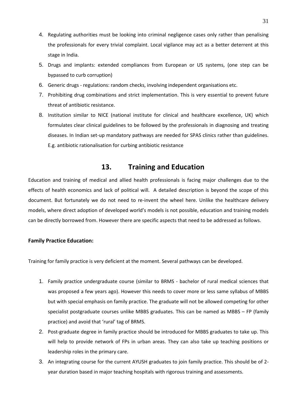- 4. Regulating authorities must be looking into criminal negligence cases only rather than penalising the professionals for every trivial complaint. Local vigilance may act as a better deterrent at this stage in India.
- 5. Drugs and implants: extended compliances from European or US systems, (one step can be bypassed to curb corruption)
- 6. Generic drugs regulations: random checks, involving independent organisations etc.
- 7. Prohibiting drug combinations and strict implementation. This is very essential to prevent future threat of antibiotic resistance.
- 8. Institution similar to NICE (national institute for clinical and healthcare excellence, UK) which formulates clear clinical guidelines to be followed by the professionals in diagnosing and treating diseases. In Indian set-up mandatory pathways are needed for SPAS clinics rather than guidelines. E.g. antibiotic rationalisation for curbing antibiotic resistance

## **13. Training and Education**

Education and training of medical and allied health professionals is facing major challenges due to the effects of health economics and lack of political will. A detailed description is beyond the scope of this document. But fortunately we do not need to re-invent the wheel here. Unlike the healthcare delivery models, where direct adoption of developed world's models is not possible, education and training models can be directly borrowed from. However there are specific aspects that need to be addressed as follows.

### **Family Practice Education:**

Training for family practice is very deficient at the moment. Several pathways can be developed.

- 1. Family practice undergraduate course (similar to BRMS bachelor of rural medical sciences that was proposed a few years ago). However this needs to cover more or less same syllabus of MBBS but with special emphasis on family practice. The graduate will not be allowed competing for other specialist postgraduate courses unlike MBBS graduates. This can be named as MBBS – FP (family practice) and avoid that 'rural' tag of BRMS.
- 2. Post-graduate degree in family practice should be introduced for MBBS graduates to take up. This will help to provide network of FPs in urban areas. They can also take up teaching positions or leadership roles in the primary care.
- 3. An integrating course for the current AYUSH graduates to join family practice. This should be of 2 year duration based in major teaching hospitals with rigorous training and assessments.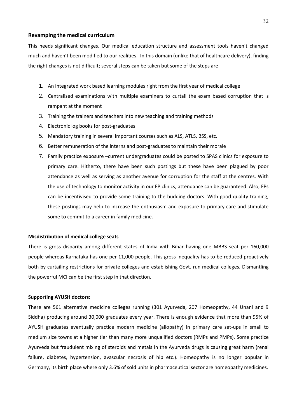### **Revamping the medical curriculum**

This needs significant changes. Our medical education structure and assessment tools haven't changed much and haven't been modified to our realities. In this domain (unlike that of healthcare delivery), finding the right changes is not difficult; several steps can be taken but some of the steps are

- 1. An integrated work based learning modules right from the first year of medical college
- 2. Centralised examinations with multiple examiners to curtail the exam based corruption that is rampant at the moment
- 3. Training the trainers and teachers into new teaching and training methods
- 4. Electronic log books for post-graduates
- 5. Mandatory training in several important courses such as ALS, ATLS, BSS, etc.
- 6. Better remuneration of the interns and post-graduates to maintain their morale
- 7. Family practice exposure –current undergraduates could be posted to SPAS clinics for exposure to primary care. Hitherto, there have been such postings but these have been plagued by poor attendance as well as serving as another avenue for corruption for the staff at the centres. With the use of technology to monitor activity in our FP clinics, attendance can be guaranteed. Also, FPs can be incentivised to provide some training to the budding doctors. With good quality training, these postings may help to increase the enthusiasm and exposure to primary care and stimulate some to commit to a career in family medicine.

#### **Misdistribution of medical college seats**

There is gross disparity among different states of India with Bihar having one MBBS seat per 160,000 people whereas Karnataka has one per 11,000 people. This gross inequality has to be reduced proactively both by curtailing restrictions for private colleges and establishing Govt. run medical colleges. Dismantling the powerful MCI can be the first step in that direction.

#### **Supporting AYUSH doctors:**

There are 561 alternative medicine colleges running (301 Ayurveda, 207 Homeopathy, 44 Unani and 9 Siddha) producing around 30,000 graduates every year. There is enough evidence that more than 95% of AYUSH graduates eventually practice modern medicine (allopathy) in primary care set-ups in small to medium size towns at a higher tier than many more unqualified doctors (RMPs and PMPs). Some practice Ayurveda but fraudulent mixing of steroids and metals in the Ayurveda drugs is causing great harm (renal failure, diabetes, hypertension, avascular necrosis of hip etc.). Homeopathy is no longer popular in Germany, its birth place where only 3.6% of sold units in pharmaceutical sector are homeopathy medicines.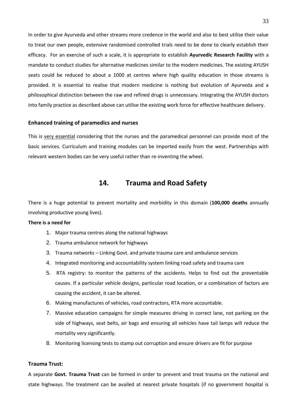In order to give Ayurveda and other streams more credence in the world and also to best utilise their value to treat our own people, extensive randomised controlled trials need to be done to clearly establish their efficacy. For an exercise of such a scale, it is appropriate to establish **Ayurvedic Research Facility** with a mandate to conduct studies for alternative medicines similar to the modern medicines. The existing AYUSH seats could be reduced to about a 1000 at centres where high quality education in those streams is provided. It is essential to realise that modern medicine is nothing but evolution of Ayurveda and a philosophical distinction between the raw and refined drugs is unnecessary. Integrating the AYUSH doctors into family practice as described above can utilise the existing work force for effective healthcare delivery.

#### **Enhanced training of paramedics and nurses**

This is very essential considering that the nurses and the paramedical personnel can provide most of the basic services. Curriculum and training modules can be imported easily from the west. Partnerships with relevant western bodies can be very useful rather than re-inventing the wheel.

## **14. Trauma and Road Safety**

There is a huge potential to prevent mortality and morbidity in this domain (**100,000 deaths** annually involving productive young lives).

#### **There is a need for**

- 1. Major trauma centres along the national highways
- 2. Trauma ambulance network for highways
- 3. Trauma networks Linking Govt. and private trauma care and ambulance services
- 4. Integrated monitoring and accountability system linking road safety and trauma care
- 5. RTA registry: to monitor the patterns of the accidents. Helps to find out the preventable causes. If a particular vehicle designs, particular road location, or a combination of factors are causing the accident, it can be altered.
- 6. Making manufactures of vehicles, road contractors, RTA more accountable.
- 7. Massive education campaigns for simple measures driving in correct lane, not parking on the side of highways, seat belts, air bags and ensuring all vehicles have tail lamps will reduce the mortality very significantly.
- 8. Monitoring licensing tests to stamp out corruption and ensure drivers are fit for purpose

### **Trauma Trust:**

A separate **Govt. Trauma Trust** can be formed in order to prevent and treat trauma on the national and state highways. The treatment can be availed at nearest private hospitals (if no government hospital is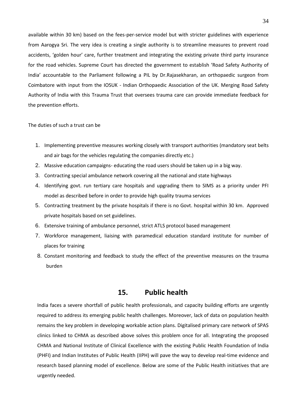available within 30 km) based on the fees-per-service model but with stricter guidelines with experience from Aarogya Sri. The very idea is creating a single authority is to streamline measures to prevent road accidents, 'golden hour' care, further treatment and integrating the existing private third party insurance for the road vehicles. Supreme Court has directed the government to establish 'Road Safety Authority of India' accountable to the Parliament following a PIL by Dr.Rajasekharan, an orthopaedic surgeon from Coimbatore with input from the IOSUK - Indian Orthopaedic Association of the UK. Merging Road Safety Authority of India with this Trauma Trust that oversees trauma care can provide immediate feedback for the prevention efforts.

#### The duties of such a trust can be

- 1. Implementing preventive measures working closely with transport authorities (mandatory seat belts and air bags for the vehicles regulating the companies directly etc.)
- 2. Massive education campaigns- educating the road users should be taken up in a big way.
- 3. Contracting special ambulance network covering all the national and state highways
- 4. Identifying govt. run tertiary care hospitals and upgrading them to SIMS as a priority under PFI model as described before in order to provide high quality trauma services
- 5. Contracting treatment by the private hospitals if there is no Govt. hospital within 30 km. Approved private hospitals based on set guidelines.
- 6. Extensive training of ambulance personnel, strict ATLS protocol based management
- 7. Workforce management, liaising with paramedical education standard institute for number of places for training
- 8. Constant monitoring and feedback to study the effect of the preventive measures on the trauma burden

## **15. Public health**

India faces a severe shortfall of public health professionals, and capacity building efforts are urgently required to address its emerging public health challenges. Moreover, lack of data on population health remains the key problem in developing workable action plans. Digitalised primary care network of SPAS clinics linked to CHMA as described above solves this problem once for all. Integrating the proposed CHMA and National Institute of Clinical Excellence with the existing Public Health Foundation of India (PHFI) and Indian Institutes of Public Health (IIPH) will pave the way to develop real-time evidence and research based planning model of excellence. Below are some of the Public Health initiatives that are urgently needed.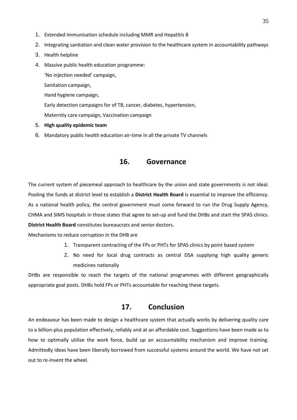- 1. Extended immunisation schedule including MMR and Hepatitis B
- 2. Integrating sanitation and clean water provision to the healthcare system in accountability pathways
- 3. Health helpline
- 4. Massive public health education programme:

'No injection needed' campaign,

Sanitation campaign,

Hand hygiene campaign,

Early detection campaigns for of TB, cancer, diabetes, hypertension,

Maternity care campaign, Vaccination campaign

- 5. **High quality epidemic team**
- 6. Mandatory public health education air-time in all the private TV channels

## **16. Governance**

The current system of piecemeal approach to healthcare by the union and state governments is not ideal. Pooling the funds at district level to establish a **District Health Board** is essential to improve the efficiency. As a national health policy, the central government must come forward to run the Drug Supply Agency, CHMA and SIMS hospitals in those states that agree to set-up and fund the DHBs and start the SPAS clinics. **District Health Board** constitutes bureaucrats and senior doctors.

Mechanisms to reduce corruption in the DHB are

- 1. Transparent contracting of the FPs or PHTs for SPAS clinics by point based system
- 2. No need for local drug contracts as central DSA supplying high quality generic medicines nationally

DHBs are responsible to reach the targets of the national programmes with different geographically appropriate goal posts. DHBs hold FPs or PHTs accountable for reaching these targets.

## **17. Conclusion**

An endeavour has been made to design a healthcare system that actually works by delivering quality care to a billion-plus population effectively, reliably and at an affordable cost. Suggestions have been made as to how to optimally utilise the work force, build up an accountability mechanism and improve training. Admittedly ideas have been liberally borrowed from successful systems around the world. We have not set out to re-invent the wheel.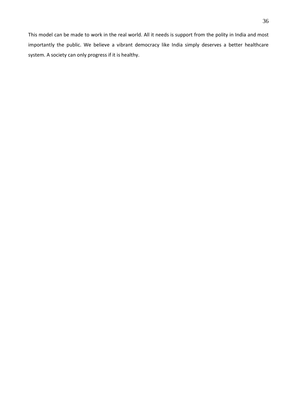This model can be made to work in the real world. All it needs is support from the polity in India and most importantly the public. We believe a vibrant democracy like India simply deserves a better healthcare system. A society can only progress if it is healthy.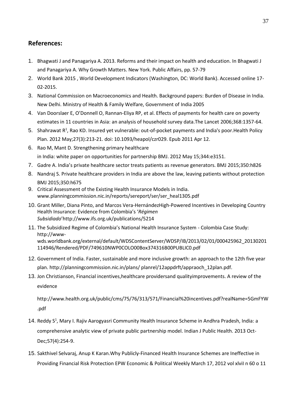## **References:**

- 1. Bhagwati J and Panagariya A. 2013. Reforms and their impact on health and education. In Bhagwati J and Panagariya A. Why Growth Matters. New York. Public Affairs, pp. 57-79
- 2. World Bank 2015 , World Development Indicators (Washington, DC: World Bank). Accessed online 17- 02-2015.
- 3. National Commission on Macroeconomics and Health. Background papers: Burden of Disease in India. New Delhi. Ministry of Health & Family Welfare, Government of India 2005
- 4. Van Doorslaer E, O'Donnell O, Rannan-Eliya RP, et al. Effects of payments for health care on poverty estimates in 11 countries in Asia: an analysis of household survey data.The Lancet 2006;368:1357-64.
- 5. Shahrawat  $R^1$ , [Rao KD.](http://www.ncbi.nlm.nih.gov/pubmed/?term=Rao%20KD%5BAuthor%5D&cauthor=true&cauthor_uid=21486910) Insured yet vulnerable: out-of-pocket payments and India's poor. Health Policy [Plan.](http://www.ncbi.nlm.nih.gov/pubmed/21486910) 2012 May;27(3):213-21. doi: 10.1093/heapol/czr029. Epub 2011 Apr 12.
- 6. [Rao M,](http://www.ncbi.nlm.nih.gov/pubmed/?term=Rao%20M%5BAuthor%5D&cauthor=true&cauthor_uid=22589501) [Mant D.](http://www.ncbi.nlm.nih.gov/pubmed/?term=Mant%20D%5BAuthor%5D&cauthor=true&cauthor_uid=22589501) Strengthening primary healthcare in India: white paper on opportunities for partnership [BMJ.](http://www.ncbi.nlm.nih.gov/pubmed?term=strengthening%20primary%20health%20care%20in%20india%20white%20paper%20on%20opportunities%20for%20partnership&cmd=correctspelling) 2012 May 15;344:e3151.
- 7. Gadre A. India's private healthcare sector treats patients as revenue generators. BMJ 2015;350:h826
- 8. Nandraj S. Private healthcare providers in India are above the law, leaving patients without protection BMJ 2015;350:h675
- 9. Critical Assessment of the Existing Health Insurance Models in India. www.planningcommission.nic.in/reports/sereport/ser/ser\_heal1305.pdf
- 10. Grant Miller, Diana Pinto, and Marcos Vera-HernándezHigh-Powered Incentives in Developing Country Health Insurance: Evidence from Colombia's '*Régimen Subsidiado*'http://www.ifs.org.uk/publications/5214
- 11. The Subsidized Regime of Colombia's National Health Insurance System Colombia Case Study: [http://www](http://www-wds.worldbank.org/external/default/WDSContentServer/WDSP/IB/2013/02/01/000425962_20130201114946/Rendered/PDF/749610NWP0COLO00Box374316B00PUBLIC0.pdf)[wds.worldbank.org/external/default/WDSContentServer/WDSP/IB/2013/02/01/000425962\\_20130201](http://www-wds.worldbank.org/external/default/WDSContentServer/WDSP/IB/2013/02/01/000425962_20130201114946/Rendered/PDF/749610NWP0COLO00Box374316B00PUBLIC0.pdf) [114946/Rendered/PDF/749610NWP0COLO00Box374316B00PUBLIC0.pdf](http://www-wds.worldbank.org/external/default/WDSContentServer/WDSP/IB/2013/02/01/000425962_20130201114946/Rendered/PDF/749610NWP0COLO00Box374316B00PUBLIC0.pdf)
- 12. Government of India. Faster, sustainable and more inclusive growth: an approach to the 12th five year plan. http://planningcommission.nic.in/plans/ planrel/12appdrft/appraoch\_12plan.pdf.
- 13. Jon Christianson, Financial incentives,healthcare providersand qualityimprovements. A review of the evidence

[http://www.health.org.uk/public/cms/75/76/313/571/Financial%20incentives.pdf?realName=5GmFYW](http://www.health.org.uk/public/cms/75/76/313/571/Financial%20incentives.pdf?realName=5GmFYW.pdf) [.pdf](http://www.health.org.uk/public/cms/75/76/313/571/Financial%20incentives.pdf?realName=5GmFYW.pdf)

- 14. [Reddy S](http://www.ncbi.nlm.nih.gov/pubmed/?term=Reddy%20S%5BAuthor%5D&cauthor=true&cauthor_uid=24351388)<sup>1</sup>, [Mary I.](http://www.ncbi.nlm.nih.gov/pubmed/?term=Mary%20I%5BAuthor%5D&cauthor=true&cauthor_uid=24351388) Rajiv Aarogyasri Community Health Insurance Scheme in Andhra Pradesh, India: a comprehensive analytic view of private public partnership model[. Indian J Public](http://www.ncbi.nlm.nih.gov/pubmed/24351388) Health. 2013 Oct-Dec;57(4):254-9.
- 15. Sakthivel Selvaraj, Anup K Karan.Why Publicly-Financed Health Insurance Schemes are Ineffective in Providing Financial Risk Protection EPW Economic & Political Weekly March 17, 2012 vol xlviI n 60 o 11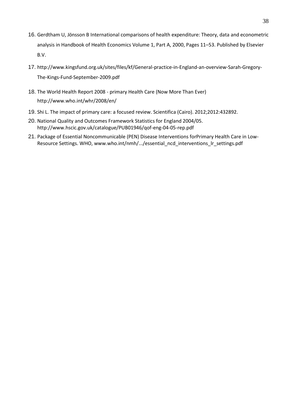- 16. [Gerdtham](http://www.sciencedirect.com/science/article/pii/S1574006400801602) U, [Jönsson](http://www.sciencedirect.com/science/article/pii/S1574006400801602) B International comparisons of health expenditure: Theory, data and econometric analysis in [Handbook](http://www.sciencedirect.com/science/handbooks/15740064) of Health Economics [Volume](http://www.sciencedirect.com/science/handbooks/15740064/1/supp/PA) 1, Part A, 2000, Pages 11–53. Published by Elsevier B.V.
- 17. [http://www.kingsfund.org.uk/sites/files/kf/General-practice-in-England-an-overview-Sarah-Gregory-](http://www.kingsfund.org.uk/sites/files/kf/General-practice-in-England-an-overview-Sarah-Gregory-The-Kings-Fund-September-2009.pdf)[The-Kings-Fund-September-2009.pdf](http://www.kingsfund.org.uk/sites/files/kf/General-practice-in-England-an-overview-Sarah-Gregory-The-Kings-Fund-September-2009.pdf)
- 18. The World Health Report 2008 primary Health Care (Now More Than Ever) <http://www.who.int/whr/2008/en/>
- 19. Shi L. The impact of primary care: a focused review. [Scientifica \(Cairo\).](http://www.ncbi.nlm.nih.gov/pubmed/?term=Review+Article+The+Impact+of+Primary+Care%3A+A+Focused+Review+Leiyu+Shi) 2012;2012:432892.
- 20. National Quality and Outcomes Framework Statistics for England 2004/05. <http://www.hscic.gov.uk/catalogue/PUB01946/qof-eng-04-05-rep.pdf>
- 21. Package of Essential Noncommunicable (PEN) Disease Interventions forPrimary Health Care in Low-Resource Settings. WHO, www.who.int/nmh/.../essential\_ncd\_interventions\_lr\_settings.pdf